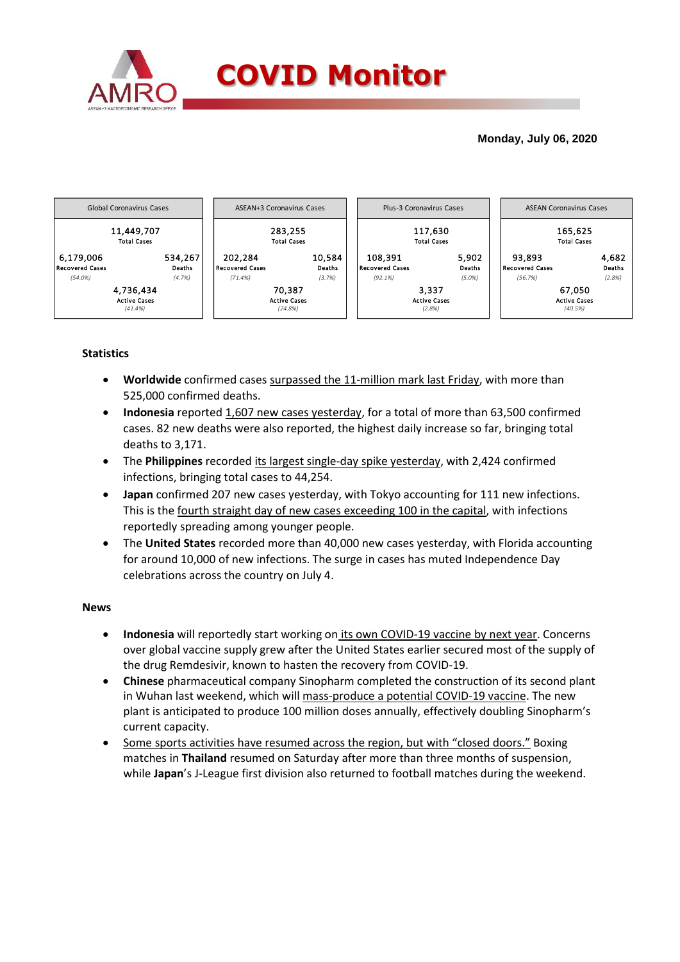

### **Monday, July 06, 2020**



## **Statistics**

- **Worldwide** confirmed cases surpassed the 11-million mark last Friday, with more than 525,000 confirmed deaths.
- **Indonesia** reported 1,607 new cases yesterday, for a total of more than 63,500 confirmed cases. 82 new deaths were also reported, the highest daily increase so far, bringing total deaths to 3,171.
- The **Philippines** recorded its largest single-day spike yesterday, with 2,424 confirmed infections, bringing total cases to 44,254.
- **Japan** confirmed 207 new cases yesterday, with Tokyo accounting for 111 new infections. This is the fourth straight day of new cases exceeding 100 in the capital, with infections reportedly spreading among younger people.
- The **United States** recorded more than 40,000 new cases yesterday, with Florida accounting for around 10,000 of new infections. The surge in cases has muted Independence Day celebrations across the country on July 4.

#### **News**

- **Indonesia** will reportedly start working on its own COVID-19 vaccine by next year. Concerns over global vaccine supply grew after the United States earlier secured most of the supply of the drug Remdesivir, known to hasten the recovery from COVID-19.
- **Chinese** pharmaceutical company Sinopharm completed the construction of its second plant in Wuhan last weekend, which will mass-produce a potential COVID-19 vaccine. The new plant is anticipated to produce 100 million doses annually, effectively doubling Sinopharm's current capacity.
- Some sports activities have resumed across the region, but with "closed doors." Boxing matches in **Thailand** resumed on Saturday after more than three months of suspension, while **Japan**'s J-League first division also returned to football matches during the weekend.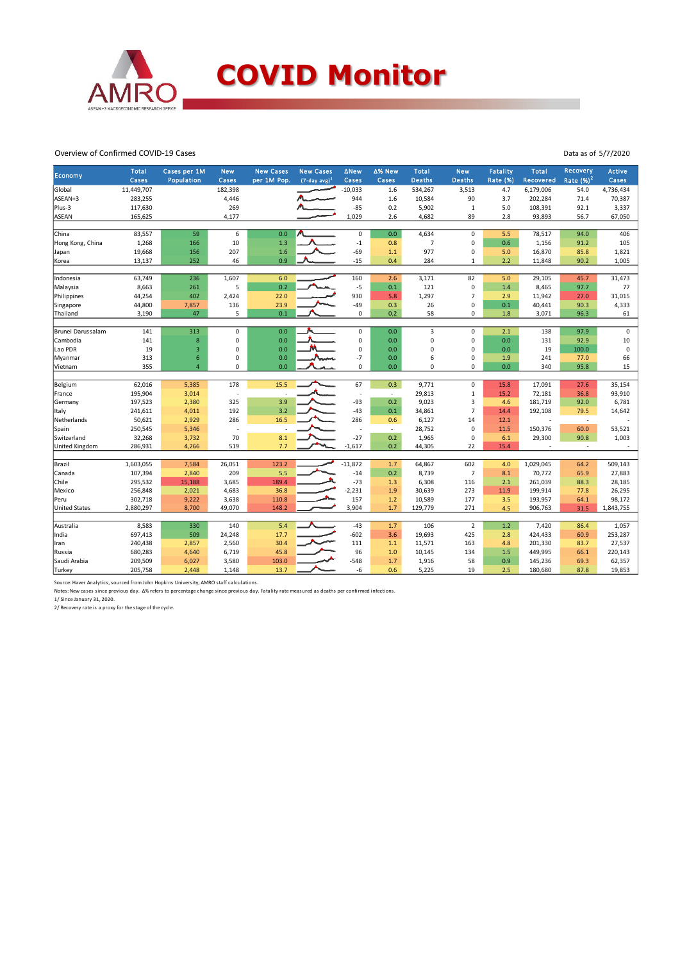

#### Overview of Confirmed COVID-19 Cases

|                       | <b>Total</b> | Cases per 1M   | <b>New</b>       | <b>New Cases</b> | <b>New Cases</b> | <b>ANew</b>     | △% New | Total          | <b>New</b>     | Fatality        | Total            | Recovery    | <b>Active</b> |
|-----------------------|--------------|----------------|------------------|------------------|------------------|-----------------|--------|----------------|----------------|-----------------|------------------|-------------|---------------|
| Economy               | Cases        | Population     | Cases            | per 1M Pop.      | $(7-day, avg)^1$ | Cases           | Cases  | <b>Deaths</b>  | <b>Deaths</b>  | <b>Rate (%)</b> | <b>Recovered</b> | Rate $(%)2$ | Cases         |
| Global                | 11,449,707   |                | 182,398          |                  |                  | $-10,033$       | 1.6    | 534,267        | 3,513          | 4.7             | 6,179,006        | 54.0        | 4,736,434     |
| ASEAN+3               | 283,255      |                | 4,446            |                  |                  | 944             | 1.6    | 10,584         | 90             | 3.7             | 202,284          | 71.4        | 70,387        |
| Plus-3                | 117,630      |                | 269              |                  |                  | $-85$           | 0.2    | 5,902          | $\mathbf{1}$   | 5.0             | 108,391          | 92.1        | 3,337         |
| <b>ASEAN</b>          | 165,625      |                | 4,177            |                  |                  | 1,029           | 2.6    | 4,682          | 89             | 2.8             | 93,893           | 56.7        | 67,050        |
|                       |              |                |                  |                  |                  |                 |        |                |                |                 |                  |             |               |
| China                 | 83,557       | 59             | $\boldsymbol{6}$ | 0.0              |                  | $\mathbf 0$     | 0.0    | 4,634          | $\mathsf 0$    | 5.5             | 78,517           | 94.0        | 406           |
| Hong Kong, China      | 1,268        | 166            | 10               | 1.3              |                  | $-1$            | 0.8    | $\overline{7}$ | 0              | 0.6             | 1,156            | 91.2        | 105           |
| Japan                 | 19,668       | 156            | 207              | 1.6              |                  | $-69$           | 1.1    | 977            | $\mathsf 0$    | 5.0             | 16,870           | 85.8        | 1,821         |
| Korea                 | 13,137       | 252            | 46               | 0.9              |                  | $-15$           | 0.4    | 284            | $\mathbf{1}$   | 2.2             | 11,848           | 90.2        | 1,005         |
|                       |              |                |                  |                  |                  |                 |        |                |                |                 |                  |             |               |
| Indonesia             | 63,749       | 236            | 1,607            | 6.0              |                  | 160             | 2.6    | 3,171          | 82             | 5.0             | 29,105           | 45.7        | 31,473        |
| Malaysia              | 8,663        | 261            | 5                | 0.2              |                  | $-5$            | 0.1    | 121            | $\mathbf 0$    | 1.4             | 8,465            | 97.7        | 77            |
| Philippines           | 44,254       | 402            | 2,424            | 22.0             |                  | 930             | 5.8    | 1,297          | $\overline{7}$ | 2.9             | 11,942           | 27.0        | 31,015        |
| Singapore             | 44,800       | 7,857          | 136              | 23.9             |                  | $-49$           | 0.3    | 26             | $\mathbf 0$    | 0.1             | 40,441           | 90.3        | 4,333         |
| Thailand              | 3,190        | 47             | 5                | 0.1              |                  | $\mathbf 0$     | 0.2    | 58             | 0              | 1.8             | 3,071            | 96.3        | 61            |
| Brunei Darussalam     | 141          | 313            | $\pmb{0}$        | 0.0              |                  | $\mathbf 0$     | 0.0    | $\overline{3}$ | $\mathbf 0$    | 2.1             | 138              | 97.9        | $\mathbf 0$   |
| Cambodia              | 141          | 8              | $\mathbf 0$      | 0.0              |                  | 0               | 0.0    | 0              | $\mathbf 0$    | 0.0             | 131              | 92.9        | 10            |
| Lao PDR               | 19           | $\overline{3}$ | $\mathbf 0$      | 0.0              |                  | 0               | 0.0    | 0              | $\mathbf 0$    | 0.0             | 19               | 100.0       | 0             |
| Myanmar               | 313          | 6              | 0                | 0.0              |                  | $-7$            | 0.0    | 6              | $\mathbf 0$    | 1.9             | 241              | 77.0        | 66            |
| Vietnam               | 355          | $\overline{a}$ | 0                | 0.0              |                  | 0               | 0.0    | 0              | 0              | 0.0             | 340              | 95.8        | 15            |
|                       |              |                |                  |                  |                  |                 |        |                |                |                 |                  |             |               |
| Belgium               | 62,016       | 5,385          | 178              | 15.5             |                  | 67              | 0.3    | 9,771          | $\mathbf 0$    | 15.8            | 17,091           | 27.6        | 35,154        |
| France                | 195,904      | 3,014          | J.               |                  |                  | ÷,              | $\sim$ | 29,813         | $\mathbf{1}$   | 15.2            | 72,181           | 36.8        | 93,910        |
| Germany               | 197,523      | 2,380          | 325              | 3.9              |                  | $-93$           | 0.2    | 9,023          | 3              | 4.6             | 181,719          | 92.0        | 6,781         |
| Italy                 | 241,611      | 4,011          | 192              | 3.2              |                  | $-43$           | 0.1    | 34,861         | $\overline{7}$ | 14.4            | 192,108          | 79.5        | 14,642        |
| Netherlands           | 50,621       | 2,929          | 286              | 16.5             |                  | 286             | 0.6    | 6,127          | 14             | 12.1            |                  | $\sim$      |               |
| Spain                 | 250,545      | 5,346          | J.               |                  |                  | $\sim$          | ÷      | 28,752         | $\mathbf 0$    | 11.5            | 150,376          | 60.0        | 53,521        |
| Switzerland           | 32,268       | 3,732          | 70               | 8.1              |                  | $-27$           | 0.2    | 1,965          | $\mathsf 0$    | 6.1             | 29,300           | 90.8        | 1,003         |
| <b>United Kingdom</b> | 286,931      | 4,266          | 519              | 7.7              |                  | $-1,617$        | 0.2    | 44,305         | 22             | 15.4            |                  | ×,          |               |
|                       |              |                |                  |                  |                  |                 |        |                |                |                 |                  |             |               |
| Brazil                | 1,603,055    | 7,584          | 26,051           | 123.2            |                  | $-11,872$       | 1.7    | 64,867         | 602            | 4.0             | 1,029,045        | 64.2        | 509,143       |
| Canada                | 107,394      | 2,840          | 209              | 5.5              |                  | $-14$           | 0.2    | 8,739          | $\overline{7}$ | 8.1             | 70,772           | 65.9        | 27,883        |
| Chile                 | 295,532      | 15,188         | 3,685            | 189.4            |                  | $-73$           | 1.3    | 6,308          | 116            | 2.1             | 261,039          | 88.3        | 28,185        |
| Mexico                | 256,848      | 2,021          | 4,683            | 36.8             |                  | $-2,231$        | 1.9    | 30,639         | 273            | 11.9            | 199,914          | 77.8        | 26,295        |
| Peru                  | 302,718      | 9,222          | 3,638            | 110.8            |                  | 157             | 1.2    | 10,589         | 177            | 3.5             | 193,957          | 64.1        | 98,172        |
| <b>United States</b>  | 2,880,297    | 8,700          | 49,070           | 148.2            |                  | 3,904           | 1.7    | 129,779        | 271            | 4.5             | 906,763          | 31.5        | 1,843,755     |
|                       |              |                |                  |                  |                  |                 |        |                | $\overline{2}$ |                 |                  |             |               |
| Australia             | 8,583        | 330            | 140              | 5.4              |                  | $-43$<br>$-602$ | 1.7    | 106            | 425            | 1.2             | 7,420            | 86.4        | 1,057         |
| India                 | 697,413      | 509            | 24,248           | 17.7             |                  |                 | 3.6    | 19,693         |                | 2.8             | 424,433          | 60.9        | 253,287       |
| Iran                  | 240,438      | 2,857          | 2,560            | 30.4             |                  | 111             | 1.1    | 11,571         | 163            | 4.8             | 201,330          | 83.7        | 27,537        |
| Russia                | 680,283      | 4,640          | 6,719            | 45.8             |                  | 96              | 1.0    | 10,145         | 134            | 1.5             | 449,995          | 66.1        | 220,143       |
| Saudi Arabia          | 209,509      | 6,027          | 3,580            | 103.0            |                  | $-548$          | 1.7    | 1,916          | 58             | 0.9             | 145,236          | 69.3        | 62,357        |
| Turkey                | 205,758      | 2,448          | 1,148            | 13.7             |                  | -6              | 0.6    | 5,225          | 19             | 2.5             | 180,680          | 87.8        | 19,853        |

Data as of 5/7/2020

Source: Haver Analytics, sourced from John Hopkins University; AMRO staff calculations.<br>Notes: New cases since previous day. ∆% refers to percentage change since previous day. Fatality rate measured as deaths per confirmed

1/ Since January 31, 2020.

2/ Recovery rate is a proxy for the stage of the cycle.